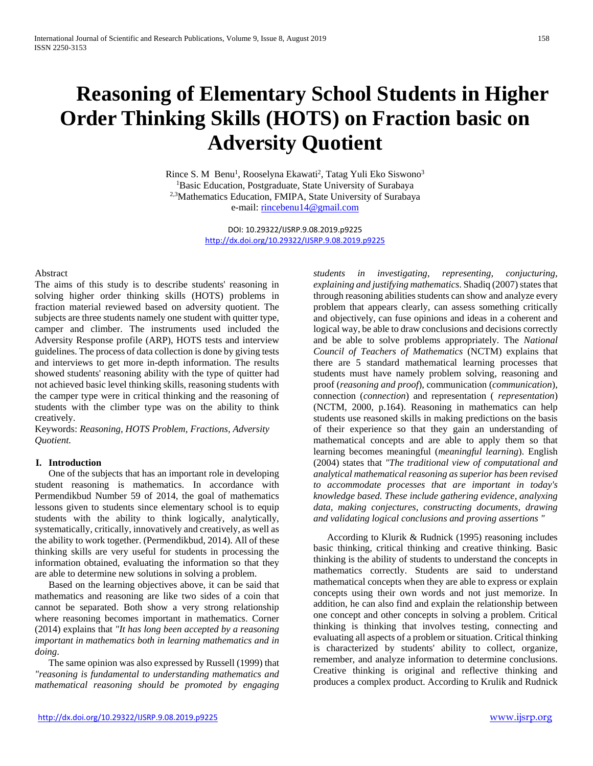# **Reasoning of Elementary School Students in Higher Order Thinking Skills (HOTS) on Fraction basic on Adversity Quotient**

Rince S. M Benu<sup>1</sup>, Rooselyna Ekawati<sup>2</sup>, Tatag Yuli Eko Siswono<sup>3</sup> <sup>1</sup>Basic Education, Postgraduate, State University of Surabaya <sup>2,3</sup>Mathematics Education, FMIPA, State University of Surabaya e-mail[: rincebenu14@gmail.com](mailto:rincebenu14@gmail.com)

> DOI: 10.29322/IJSRP.9.08.2019.p9225 <http://dx.doi.org/10.29322/IJSRP.9.08.2019.p9225>

#### Abstract

The aims of this study is to describe students' reasoning in solving higher order thinking skills (HOTS) problems in fraction material reviewed based on adversity quotient. The subjects are three students namely one student with quitter type, camper and climber. The instruments used included the Adversity Response profile (ARP), HOTS tests and interview guidelines. The process of data collection is done by giving tests and interviews to get more in-depth information. The results showed students' reasoning ability with the type of quitter had not achieved basic level thinking skills, reasoning students with the camper type were in critical thinking and the reasoning of students with the climber type was on the ability to think creatively.

Keywords: *Reasoning, HOTS Problem, Fractions, Adversity Quotient.*

# **I. Introduction**

One of the subjects that has an important role in developing student reasoning is mathematics. In accordance with Permendikbud Number 59 of 2014, the goal of mathematics lessons given to students since elementary school is to equip students with the ability to think logically, analytically, systematically, critically, innovatively and creatively, as well as the ability to work together. (Permendikbud, 2014). All of these thinking skills are very useful for students in processing the information obtained, evaluating the information so that they are able to determine new solutions in solving a problem.

Based on the learning objectives above, it can be said that mathematics and reasoning are like two sides of a coin that cannot be separated. Both show a very strong relationship where reasoning becomes important in mathematics. Corner (2014) explains that *"It has long been accepted by a reasoning important in mathematics both in learning mathematics and in doing*.

The same opinion was also expressed by Russell (1999) that *"reasoning is fundamental to understanding mathematics and mathematical reasoning should be promoted by engaging*  *students in investigating, representing, conjucturing, explaining and justifying mathematics*. Shadiq (2007) states that through reasoning abilities students can show and analyze every problem that appears clearly, can assess something critically and objectively, can fuse opinions and ideas in a coherent and logical way, be able to draw conclusions and decisions correctly and be able to solve problems appropriately. The *National Council of Teachers of Mathematics* (NCTM) explains that there are 5 standard mathematical learning processes that students must have namely problem solving, reasoning and proof (*reasoning and proof*), communication (*communication*), connection (*connection*) and representation ( *representation*) (NCTM, 2000, p.164). Reasoning in mathematics can help students use reasoned skills in making predictions on the basis of their experience so that they gain an understanding of mathematical concepts and are able to apply them so that learning becomes meaningful (*meaningful learning*). English (2004) states that *"The traditional view of computational and analytical mathematical reasoning as superior has been revised to accommodate processes that are important in today's knowledge based. These include gathering evidence, analyxing data, making conjectures, constructing documents, drawing and validating logical conclusions and proving assertions "*

According to Klurik & Rudnick (1995) reasoning includes basic thinking, critical thinking and creative thinking. Basic thinking is the ability of students to understand the concepts in mathematics correctly. Students are said to understand mathematical concepts when they are able to express or explain concepts using their own words and not just memorize. In addition, he can also find and explain the relationship between one concept and other concepts in solving a problem. Critical thinking is thinking that involves testing, connecting and evaluating all aspects of a problem or situation. Critical thinking is characterized by students' ability to collect, organize, remember, and analyze information to determine conclusions. Creative thinking is original and reflective thinking and produces a complex product. According to Krulik and Rudnick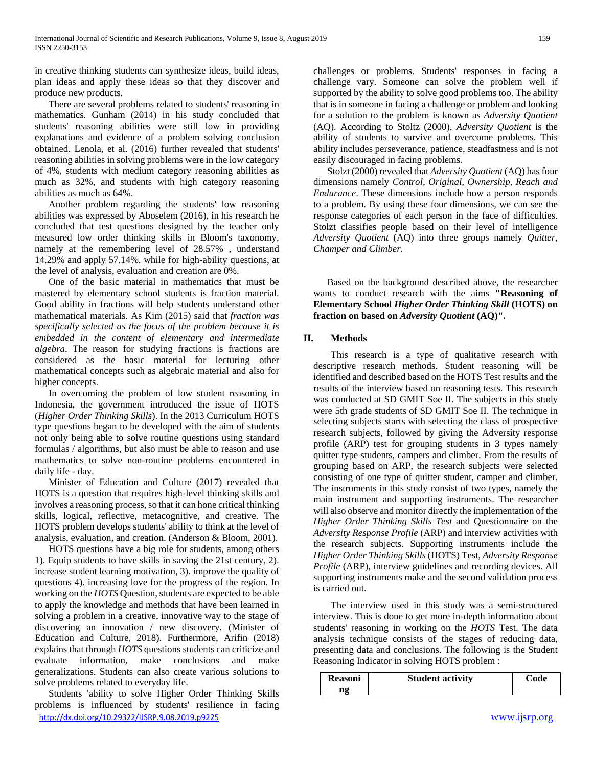in creative thinking students can synthesize ideas, build ideas, plan ideas and apply these ideas so that they discover and produce new products.

There are several problems related to students' reasoning in mathematics. Gunham (2014) in his study concluded that students' reasoning abilities were still low in providing explanations and evidence of a problem solving conclusion obtained. Lenola, et al. (2016) further revealed that students' reasoning abilities in solving problems were in the low category of 4%, students with medium category reasoning abilities as much as 32%, and students with high category reasoning abilities as much as 64%.

Another problem regarding the students' low reasoning abilities was expressed by Aboselem (2016), in his research he concluded that test questions designed by the teacher only measured low order thinking skills in Bloom's taxonomy, namely at the remembering level of 28.57% , understand 14.29% and apply 57.14%. while for high-ability questions, at the level of analysis, evaluation and creation are 0%.

One of the basic material in mathematics that must be mastered by elementary school students is fraction material. Good ability in fractions will help students understand other mathematical materials. As Kim (2015) said that *fraction was specifically selected as the focus of the problem because it is embedded in the content of elementary and intermediate algebra*. The reason for studying fractions is fractions are considered as the basic material for lecturing other mathematical concepts such as algebraic material and also for higher concepts.

In overcoming the problem of low student reasoning in Indonesia, the government introduced the issue of HOTS (*Higher Order Thinking Skills*). In the 2013 Curriculum HOTS type questions began to be developed with the aim of students not only being able to solve routine questions using standard formulas / algorithms, but also must be able to reason and use mathematics to solve non-routine problems encountered in daily life - day.

Minister of Education and Culture (2017) revealed that HOTS is a question that requires high-level thinking skills and involves a reasoning process, so that it can hone critical thinking skills, logical, reflective, metacognitive, and creative. The HOTS problem develops students' ability to think at the level of analysis, evaluation, and creation. (Anderson & Bloom, 2001).

HOTS questions have a big role for students, among others 1). Equip students to have skills in saving the 21st century, 2). increase student learning motivation, 3). improve the quality of questions 4). increasing love for the progress of the region. In working on the *HOTS* Question, students are expected to be able to apply the knowledge and methods that have been learned in solving a problem in a creative, innovative way to the stage of discovering an innovation / new discovery. (Minister of Education and Culture, 2018). Furthermore, Arifin (2018) explains that through *HOTS* questions students can criticize and evaluate information, make conclusions and make generalizations. Students can also create various solutions to solve problems related to everyday life.

<http://dx.doi.org/10.29322/IJSRP.9.08.2019.p9225> [www.ijsrp.org](http://ijsrp.org/) Students 'ability to solve Higher Order Thinking Skills problems is influenced by students' resilience in facing

challenges or problems. Students' responses in facing a challenge vary. Someone can solve the problem well if supported by the ability to solve good problems too. The ability that is in someone in facing a challenge or problem and looking for a solution to the problem is known as *Adversity Quotient* (AQ). According to Stoltz (2000), *Adversity Quotient* is the ability of students to survive and overcome problems. This ability includes perseverance, patience, steadfastness and is not easily discouraged in facing problems.

Stolzt (2000) revealed that *Adversity Quotient* (AQ) has four dimensions namely *Control, Original, Ownership, Reach and Endurance*. These dimensions include how a person responds to a problem. By using these four dimensions, we can see the response categories of each person in the face of difficulties. Stolzt classifies people based on their level of intelligence *Adversity Quotient* (AQ) into three groups namely *Quitter, Champer and Climber.*

Based on the background described above, the researcher wants to conduct research with the aims **"Reasoning of Elementary School** *Higher Order Thinking Skill* **(HOTS) on fraction on based on** *Adversity Quotient* **(AQ)".**

# **II. Methods**

This research is a type of qualitative research with descriptive research methods. Student reasoning will be identified and described based on the HOTS Test results and the results of the interview based on reasoning tests. This research was conducted at SD GMIT Soe II. The subjects in this study were 5th grade students of SD GMIT Soe II. The technique in selecting subjects starts with selecting the class of prospective research subjects, followed by giving the Adversity response profile (ARP) test for grouping students in 3 types namely quitter type students, campers and climber. From the results of grouping based on ARP, the research subjects were selected consisting of one type of quitter student, camper and climber. The instruments in this study consist of two types, namely the main instrument and supporting instruments. The researcher will also observe and monitor directly the implementation of the *Higher Order Thinking Skills Test* and Questionnaire on the *Adversity Response Profile* (ARP) and interview activities with the research subjects. Supporting instruments include the *Higher Order Thinking Skills* (HOTS) Test, *Adversity Response Profile* (ARP), interview guidelines and recording devices. All supporting instruments make and the second validation process is carried out.

The interview used in this study was a semi-structured interview. This is done to get more in-depth information about students' reasoning in working on the *HOTS* Test. The data analysis technique consists of the stages of reducing data, presenting data and conclusions. The following is the Student Reasoning Indicator in solving HOTS problem :

| Reasoni | <b>Student activity</b> | Code |
|---------|-------------------------|------|
| ng      |                         |      |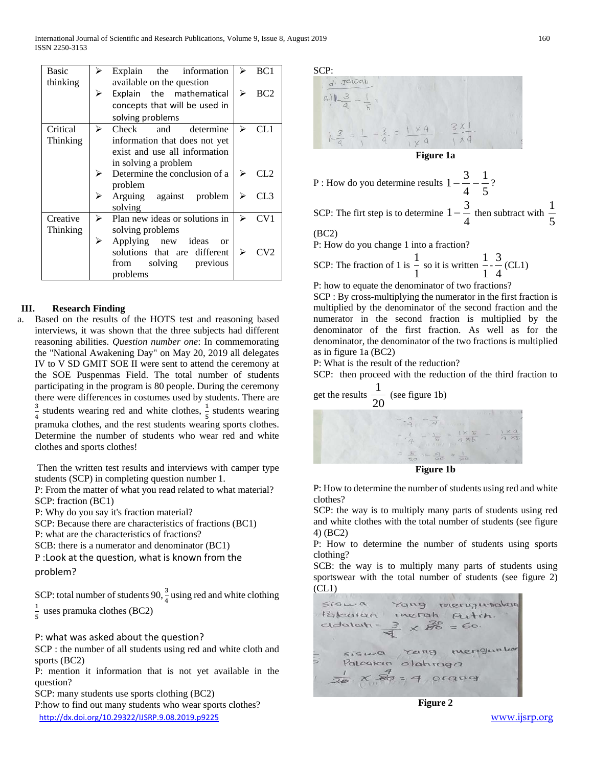International Journal of Scientific and Research Publications, Volume 9, Issue 8, August 2019 160 ISSN 2250-3153

| <b>Basic</b>    | $\blacktriangleright$ | Explain the information             | ⋗ | BC1             |
|-----------------|-----------------------|-------------------------------------|---|-----------------|
| thinking        |                       | available on the question           |   |                 |
|                 | ≻                     | Explain the mathematical            | ➤ | BC2             |
|                 |                       | concepts that will be used in       |   |                 |
|                 |                       | solving problems                    |   |                 |
| Critical        | $\blacktriangleright$ | Check and determine                 | ➤ | CL1             |
| Thinking        |                       | information that does not yet       |   |                 |
|                 |                       | exist and use all information       |   |                 |
|                 |                       | in solving a problem                |   |                 |
|                 | ⋗                     | Determine the conclusion of a       | ➢ | CL2             |
|                 |                       | problem                             |   |                 |
|                 | ⋗                     | Arguing against problem             | ➢ | CL3             |
|                 |                       | solving                             |   |                 |
| Creative        | ≻                     | Plan new ideas or solutions in      | ↘ | CV <sub>1</sub> |
| <b>Thinking</b> |                       | solving problems                    |   |                 |
|                 | ≻                     | Applying new ideas<br><sub>or</sub> |   |                 |
|                 |                       | solutions that are different        | ↘ | CV2             |
|                 |                       | solving previous<br>from            |   |                 |
|                 |                       | problems                            |   |                 |

# **III. Research Finding**

a. Based on the results of the HOTS test and reasoning based interviews, it was shown that the three subjects had different reasoning abilities. *Question number one*: In commemorating the "National Awakening Day" on May 20, 2019 all delegates IV to V SD GMIT SOE II were sent to attend the ceremony at the SOE Puspenmas Field. The total number of students participating in the program is 80 people. During the ceremony there were differences in costumes used by students. There are  $\frac{3}{4}$  $\frac{3}{4}$  students wearing red and white clothes,  $\frac{1}{5}$  students wearing pramuka clothes, and the rest students wearing sports clothes. Determine the number of students who wear red and white clothes and sports clothes!

Then the written test results and interviews with camper type students (SCP) in completing question number 1.

P: From the matter of what you read related to what material? SCP: fraction (BC1)

P: Why do you say it's fraction material?

SCP: Because there are characteristics of fractions (BC1)

P: what are the characteristics of fractions?

SCB: there is a numerator and denominator (BC1)

P :Look at the question, what is known from the problem?

SCP: total number of students 90,  $\frac{3}{4}$  using red and white clothing 1  $\frac{1}{5}$  uses pramuka clothes (BC2)

P: what was asked about the question?

SCP : the number of all students using red and white cloth and sports (BC2)

P: mention it information that is not yet available in the question?

SCP: many students use sports clothing (BC2)

<http://dx.doi.org/10.29322/IJSRP.9.08.2019.p9225> [www.ijsrp.org](http://ijsrp.org/) P:how to find out many students who wear sports clothes?

SCP: di Jawab



SCP: The firt step is to determine  $1 - \frac{1}{4}$  $1 - \frac{3}{4}$  then subtract with 5 1

(BC2)

P: How do you change 1 into a fraction?

SCP: The fraction of 1 is  $\frac{1}{1}$  $\frac{1}{1}$  so it is written  $\frac{1}{1}$  $\frac{1}{1}$ 4  $\frac{3}{2}$ (CL1)

P: how to equate the denominator of two fractions?

SCP : By cross-multiplying the numerator in the first fraction is multiplied by the denominator of the second fraction and the numerator in the second fraction is multiplied by the denominator of the first fraction. As well as for the denominator, the denominator of the two fractions is multiplied as in figure 1a (BC2)

P: What is the result of the reduction?

SCP: then proceed with the reduction of the third fraction to

get the results  $\frac{1}{20}$  $\frac{1}{2}$  (see figure 1b)



P: How to determine the number of students using red and white clothes?

SCP: the way is to multiply many parts of students using red and white clothes with the total number of students (see figure 4) (BC2)

P: How to determine the number of students using sports clothing?

SCB: the way is to multiply many parts of students using sportswear with the total number of students (see figure 2)  $(CL1)$ 



**Figure 2**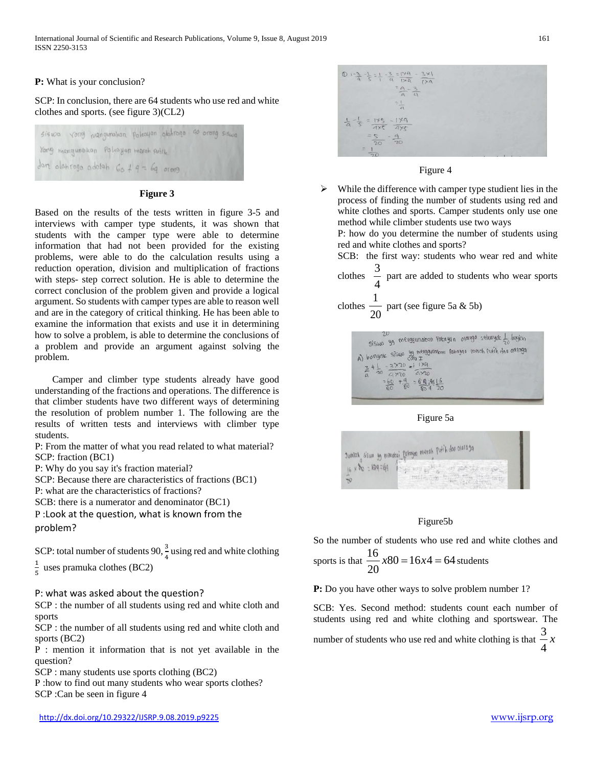International Journal of Scientific and Research Publications, Volume 9, Issue 8, August 2019 161 ISSN 2250-3153

#### **P:** What is your conclusion?

SCP: In conclusion, there are 64 students who use red and white clothes and sports. (see figure 3)(CL2)

sision voro wenquration polecyan obstroga 40 orang sision Yong mengunakan Pakayan merah putru dart olehraga adalah 60 x 9 = 69 orong

### **Figure 3**

Based on the results of the tests written in figure 3-5 and interviews with camper type students, it was shown that students with the camper type were able to determine information that had not been provided for the existing problems, were able to do the calculation results using a reduction operation, division and multiplication of fractions with steps- step correct solution. He is able to determine the correct conclusion of the problem given and provide a logical argument. So students with camper types are able to reason well and are in the category of critical thinking. He has been able to examine the information that exists and use it in determining how to solve a problem, is able to determine the conclusions of a problem and provide an argument against solving the problem.

Camper and climber type students already have good understanding of the fractions and operations. The difference is that climber students have two different ways of determining the resolution of problem number 1. The following are the results of written tests and interviews with climber type students.

P: From the matter of what you read related to what material? SCP: fraction (BC1)

P: Why do you say it's fraction material?

SCP: Because there are characteristics of fractions (BC1)

P: what are the characteristics of fractions?

SCB: there is a numerator and denominator (BC1)

P :Look at the question, what is known from the problem?

SCP: total number of students 90,  $\frac{3}{4}$  using red and white clothing 1  $\frac{1}{5}$  uses pramuka clothes (BC2)

P: what was asked about the question?

SCP : the number of all students using red and white cloth and sports

SCP : the number of all students using red and white cloth and sports (BC2)

P : mention it information that is not yet available in the question?

SCP : many students use sports clothing (BC2)

P :how to find out many students who wear sports clothes? SCP :Can be seen in figure 4



Figure 4

 $\triangleright$  While the difference with camper type studient lies in the process of finding the number of students using red and white clothes and sports. Camper students only use one method while climber students use two ways

P: how do you determine the number of students using red and white clothes and sports?

SCB: the first way: students who wear red and white

clothes  $\frac{1}{4}$  $\frac{3}{2}$  part are added to students who wear sports

clothes 20  $\frac{1}{2}$  part (see figure 5a & 5b)







# Figure5b

So the number of students who use red and white clothes and

$$
~\text{sports is that}~\frac{16}{20}x80 = 16x4 = 64 \text{ students}
$$

**P:** Do you have other ways to solve problem number 1?

SCB: Yes. Second method: students count each number of students using red and white clothing and sportswear. The number of students who use red and white clothing is that  $\frac{3}{x}$ 4 3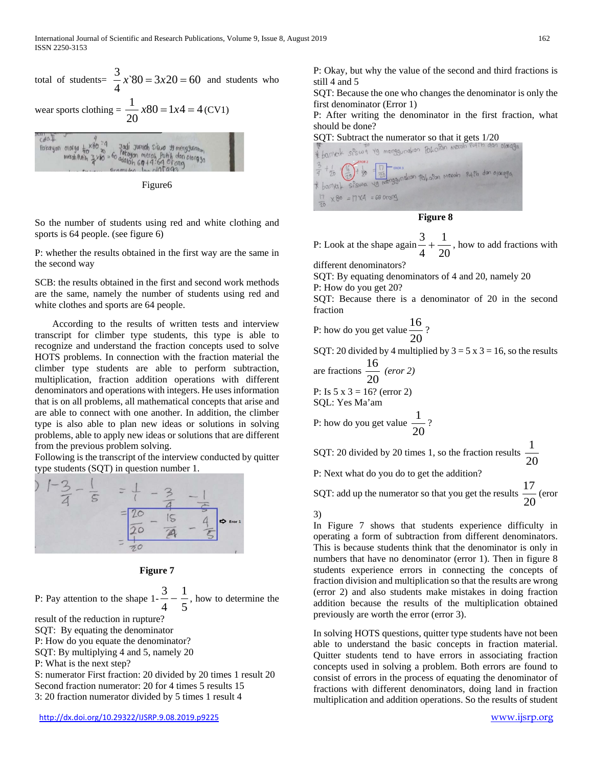total of students = 
$$
\frac{3}{4}x^80 = 3x20 = 60
$$
 and students who  
wear sports clothing =  $\frac{1}{20}x80 = 1x4 = 4$  (CV1)

| $\frac{1}{4}$ on | x80<br>Jadi Jumlah Siswa 19 menggunakan<br>Pakayan olargo $\frac{1}{20}$ |  |
|------------------|--------------------------------------------------------------------------|--|
|                  | metal Putih 3x80 = 60 adalah 60+4:64 of atas                             |  |
|                  | $I_{\alpha}$ of $\alpha$ and $\alpha$<br>$0$ carridan                    |  |

Figure6

So the number of students using red and white clothing and sports is 64 people. (see figure 6)

P: whether the results obtained in the first way are the same in the second way

SCB: the results obtained in the first and second work methods are the same, namely the number of students using red and white clothes and sports are 64 people.

According to the results of written tests and interview transcript for climber type students, this type is able to recognize and understand the fraction concepts used to solve HOTS problems. In connection with the fraction material the climber type students are able to perform subtraction, multiplication, fraction addition operations with different denominators and operations with integers. He uses information that is on all problems, all mathematical concepts that arise and are able to connect with one another. In addition, the climber type is also able to plan new ideas or solutions in solving problems, able to apply new ideas or solutions that are different from the previous problem solving.

Following is the transcript of the interview conducted by quitter type students (SQT) in question number 1.



# **Figure 7**

P: Pay attention to the shape  $1 - \frac{3}{4}$  – 5  $\frac{1}{x}$ , how to determine the result of the reduction in rupture? SQT: By equating the denominator P: How do you equate the denominator? SQT: By multiplying 4 and 5, namely 20

P: What is the next step?

S: numerator First fraction: 20 divided by 20 times 1 result 20 Second fraction numerator: 20 for 4 times 5 results 15 3: 20 fraction numerator divided by 5 times 1 result 4

P: Okay, but why the value of the second and third fractions is still 4 and 5

SQT: Because the one who changes the denominator is only the first denominator (Error 1)

P: After writing the denominator in the first fraction, what should be done?



P: Look at the shape again  $\frac{2}{4} + \frac{1}{20}$ 1 4  $\frac{3}{1} + \frac{1}{20}$ , how to add fractions with

different denominators?

SQT: By equating denominators of 4 and 20, namely 20 P: How do you get 20?

SQT: Because there is a denominator of 20 in the second fraction

P: how do you get value 
$$
\frac{16}{20}
$$
?

SQT: 20 divided by 4 multiplied by  $3 = 5 \times 3 = 16$ , so the results

are fractions 
$$
\frac{16}{20}
$$
 (error 2)  
P: Is 5 x 3 = 16? (error 2)

SQL: Yes Ma'am

P: how do you get value  $\frac{1}{20}$  $\frac{1}{2}$ ?

SQT: 20 divided by 20 times 1, so the fraction results  $\frac{1}{20}$ 1

P: Next what do you do to get the addition?

SQT: add up the numerator so that you get the results  $\frac{20}{20}$  $\frac{17}{20}$  (eror

3)

In Figure 7 shows that students experience difficulty in operating a form of subtraction from different denominators. This is because students think that the denominator is only in numbers that have no denominator (error 1). Then in figure 8 students experience errors in connecting the concepts of fraction division and multiplication so that the results are wrong (error 2) and also students make mistakes in doing fraction addition because the results of the multiplication obtained previously are worth the error (error 3).

In solving HOTS questions, quitter type students have not been able to understand the basic concepts in fraction material. Quitter students tend to have errors in associating fraction concepts used in solving a problem. Both errors are found to consist of errors in the process of equating the denominator of fractions with different denominators, doing land in fraction multiplication and addition operations. So the results of student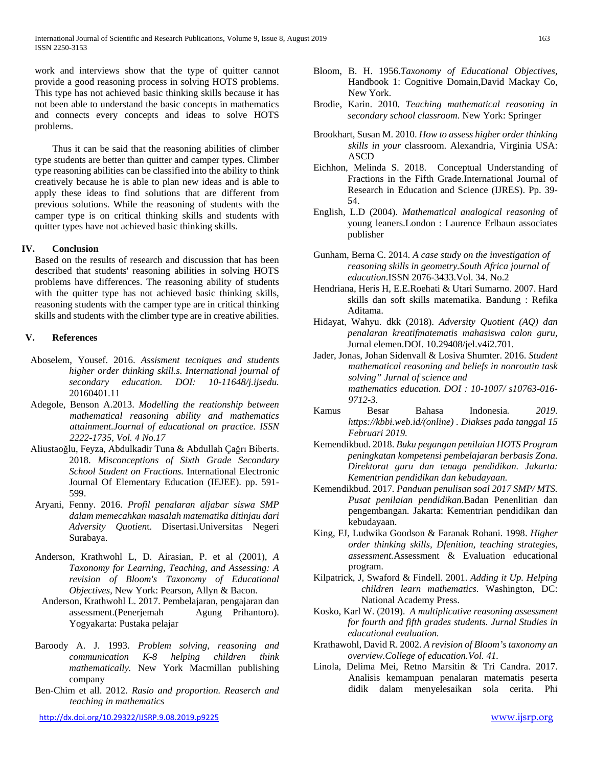work and interviews show that the type of quitter cannot provide a good reasoning process in solving HOTS problems. This type has not achieved basic thinking skills because it has not been able to understand the basic concepts in mathematics and connects every concepts and ideas to solve HOTS problems.

Thus it can be said that the reasoning abilities of climber type students are better than quitter and camper types. Climber type reasoning abilities can be classified into the ability to think creatively because he is able to plan new ideas and is able to apply these ideas to find solutions that are different from previous solutions. While the reasoning of students with the camper type is on critical thinking skills and students with quitter types have not achieved basic thinking skills.

# **IV. Conclusion**

Based on the results of research and discussion that has been described that students' reasoning abilities in solving HOTS problems have differences. The reasoning ability of students with the quitter type has not achieved basic thinking skills, reasoning students with the camper type are in critical thinking skills and students with the climber type are in creative abilities.

# **V. References**

- Aboselem, Yousef. 2016. *Assisment tecniques and students higher order thinking skill.s. International journal of secondary education. DOI: 10-11648/j.ijsedu.* 20160401.11
- Adegole, Benson A.2013. *Modelling the reationship between mathematical reasoning ability and mathematics attainment.Journal of educational on practice. ISSN 2222-1735, Vol. 4 No.17*
- Aliustaoğlu, Feyza, Abdulkadir Tuna & Abdullah Çağrı Biberts. 2018. *Misconceptions of Sixth Grade Secondary School Student on Fractions.* International Electronic Journal Of Elementary Education (IEJEE). pp. 591- 599.
- Aryani, Fenny. 2016. *Profil penalaran aljabar siswa SMP dalam memecahkan masalah matematika ditinjau dari Adversity Quotien*t. Disertasi.Universitas Negeri Surabaya.
- Anderson, Krathwohl L, D. Airasian, P. et al (2001), *A Taxonomy for Learning, Teaching, and Assessing: A revision of Bloom's Taxonomy of Educational Objectives*, New York: Pearson, Allyn & Bacon.
- Anderson, Krathwohl L. 2017. Pembelajaran, pengajaran dan assessment.(Penerjemah Agung Prihantoro). Yogyakarta: Pustaka pelajar
- Baroody A. J. 1993. *Problem solving, reasoning and communication K-8 helping children think mathematically.* New York Macmillan publishing company
- Ben-Chim et all. 2012. *Rasio and proportion. Reaserch and teaching in mathematics*
- Bloom, B. H. 1956.*Taxonomy of Educational Objectives,* Handbook 1: Cognitive Domain,David Mackay Co, New York.
- Brodie, Karin. 2010. *Teaching mathematical reasoning in secondary school classroom*. New York: Springer
- Brookhart, Susan M. 2010. *How to assess higher order thinking skills in your* classroom. Alexandria, Virginia USA: ASCD
- Eichhon, Melinda S. 2018. Conceptual Understanding of Fractions in the Fifth Grade.International Journal of Research in Education and Science (IJRES). Pp. 39- 54.
- English, L.D (2004). *Mathematical analogical reasoning* of young leaners.London : Laurence Erlbaun associates publisher
- Gunham, Berna C. 2014. *A case study on the investigation of reasoning skills in geometry.South Africa journal of education.*ISSN 2076-3433.Vol. 34. No.2
- Hendriana, Heris H, E.E.Roehati & Utari Sumarno. 2007. Hard skills dan soft skills matematika. Bandung : Refika Aditama.
- Hidayat, Wahyu. dkk (2018). *Adversity Quotient (AQ) dan penalaran kreatifmatematis mahasiswa calon guru,* Jurnal elemen.DOI. 10.29408/jel.v4i2.701.
- Jader, Jonas, Johan Sidenvall & Losiva Shumter. 2016. *Student mathematical reasoning and beliefs in nonroutin task solving" Jurnal of science and mathematics education. DOI : 10-1007/ s10763-016- 9712-3.*
- Kamus Besar Bahasa Indonesia*. 2019. https://kbbi.web.id/(online) . Diakses pada tanggal 15 Februari 2019.*
- Kemendikbud. 2018. *Buku pegangan penilaian HOTS Program peningkatan kompetensi pembelajaran berbasis Zona. Direktorat guru dan tenaga pendidikan. Jakarta: Kementrian pendidikan dan kebudayaan.*
- Kemendikbud. 2017*. Panduan penulisan soal 2017 SMP/ MTS. Pusat penilaian pendidikan.*Badan Penenlitian dan pengembangan. Jakarta: Kementrian pendidikan dan kebudayaan.
- King, FJ, Ludwika Goodson & Faranak Rohani. 1998. *Higher order thinking skills, Dfenition, teaching strategies, assessment.*Assessment & Evaluation educational program.
- Kilpatrick, J, Swaford & Findell. 2001. *Adding it Up. Helping children learn mathematics.* Washington, DC: National Academy Press.
- Kosko, Karl W. (2019). *A multiplicative reasoning assessment for fourth and fifth grades students. Jurnal Studies in educational evaluation.*
- Krathawohl, David R. 2002. *A revision of Bloom's taxonomy an overview.College of education.Vol. 41.*
- Linola, Delima Mei, Retno Marsitin & Tri Candra. 2017. Analisis kemampuan penalaran matematis peserta didik dalam menyelesaikan sola cerita. Phi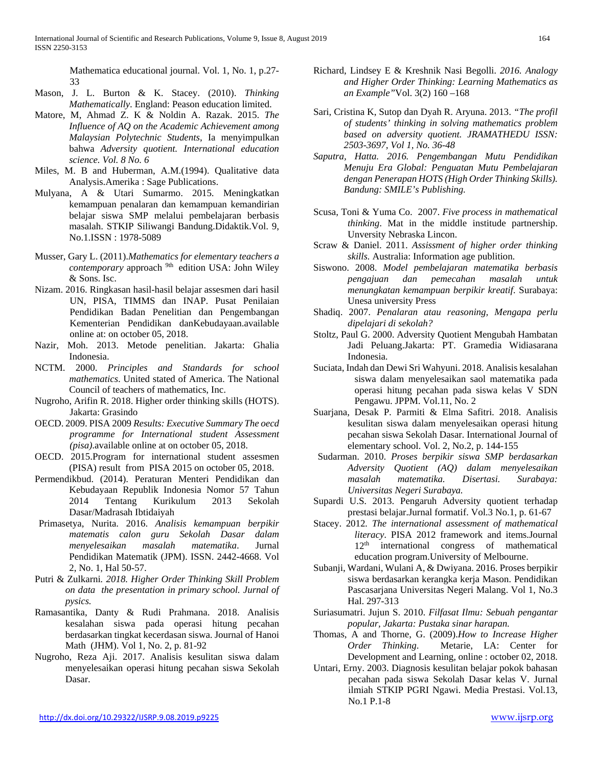Mathematica educational journal. Vol. 1, No. 1, p.27- 33

- Mason, J. L. Burton & K. Stacey. (2010). *Thinking Mathematically*. England: Peason education limited.
- Matore, M, Ahmad Z. K & Noldin A. Razak. 2015. *The Influence of AQ on the Academic Achievement among Malaysian Polytechnic Students*, Ia menyimpulkan bahwa *Adversity quotient. International education science. Vol. 8 No. 6*
- Miles, M. B and Huberman, A.M.(1994). Qualitative data Analysis.Amerika : Sage Publications.
- Mulyana, A & Utari Sumarmo. 2015. Meningkatkan kemampuan penalaran dan kemampuan kemandirian belajar siswa SMP melalui pembelajaran berbasis masalah. STKIP Siliwangi Bandung.Didaktik.Vol. 9, No.1.ISSN : 1978-5089
- Musser, Gary L. (2011).*Mathematics for elementary teachers a contemporary* approach <sup>9th</sup> edition USA: John Wiley & Sons. Isc.
- Nizam. 2016. Ringkasan hasil-hasil belajar assesmen dari hasil UN, PISA, TIMMS dan INAP. Pusat Penilaian Pendidikan Badan Penelitian dan Pengembangan Kementerian Pendidikan danKebudayaan.available online at: on october 05, 2018.
- Nazir, Moh. 2013. Metode penelitian. Jakarta: Ghalia Indonesia.
- NCTM. 2000. *Principles and Standards for school mathematics*. United stated of America. The National Council of teachers of mathematics, Inc.
- Nugroho, Arifin R. 2018. Higher order thinking skills (HOTS). Jakarta: Grasindo
- OECD. 2009. PISA 2009 *Results: Executive Summary The oecd programme for International student Assessment (pisa)*.available online at on october 05, 2018.
- OECD. 2015.Program for international student assesmen (PISA) result from PISA 2015 on october 05, 2018.
- Permendikbud. (2014). Peraturan Menteri Pendidikan dan Kebudayaan Republik Indonesia Nomor 57 Tahun 2014 Tentang Kurikulum 2013 Sekolah Dasar/Madrasah Ibtidaiyah
- Primasetya, Nurita. 2016. *Analisis kemampuan berpikir matematis calon guru Sekolah Dasar dalam menyelesaikan masalah matematika*. Jurnal Pendidikan Matematik (JPM). ISSN. 2442-4668. Vol 2, No. 1, Hal 50-57.
- Putri & Zulkarni*. 2018. Higher Order Thinking Skill Problem on data the presentation in primary school. Jurnal of pysics.*
- Ramasantika, Danty & Rudi Prahmana. 2018. Analisis kesalahan siswa pada operasi hitung pecahan berdasarkan tingkat kecerdasan siswa. Journal of Hanoi Math (JHM). Vol 1, No. 2, p. 81-92
- Nugroho, Reza Aji. 2017. Analisis kesulitan siswa dalam menyelesaikan operasi hitung pecahan siswa Sekolah Dasar.
- Richard, Lindsey E & Kreshnik Nasi Begolli. *2016. Analogy and Higher Order Thinking: Learning Mathematics as an Example"*Vol. 3(2) 160 –168
- Sari, Cristina K, Sutop dan Dyah R. Aryuna. 2013. *"The profil of students' thinking in solving mathematics problem based on adversity quotient. JRAMATHEDU ISSN: 2503-3697, Vol 1, No. 36-48*
- *Saputra, Hatta. 2016. Pengembangan Mutu Pendidikan Menuju Era Global: Penguatan Mutu Pembelajaran dengan Penerapan HOTS (High Order Thinking Skills). Bandung: SMILE's Publishing.*
- Scusa, Toni & Yuma Co. 2007. *Five process in mathematical thinking*. Mat in the middle institude partnership. Unversity Nebraska Lincon.
- Scraw & Daniel. 2011. *Assissment of higher order thinking skills.* Australia: Information age publition.
- Siswono. 2008. *Model pembelajaran matematika berbasis pengajuan dan pemecahan masalah untuk menungkatan kemampuan berpikir kreatif*. Surabaya: Unesa university Press
- Shadiq. 2007. *Penalaran atau reasoning, Mengapa perlu dipelajari di sekolah?*
- Stoltz, Paul G. 2000. Adversity Quotient Mengubah Hambatan Jadi Peluang.Jakarta: PT. Gramedia Widiasarana Indonesia.
- Suciata, Indah dan Dewi Sri Wahyuni. 2018. Analisis kesalahan siswa dalam menyelesaikan saol matematika pada operasi hitung pecahan pada siswa kelas V SDN Pengawu. JPPM. Vol.11, No. 2
- Suarjana, Desak P. Parmiti & Elma Safitri. 2018. Analisis kesulitan siswa dalam menyelesaikan operasi hitung pecahan siswa Sekolah Dasar. International Journal of elementary school. Vol. 2, No.2, p. 144-155
- Sudarman. 2010. *Proses berpikir siswa SMP berdasarkan Adversity Quotient (AQ) dalam menyelesaikan masalah matematika. Disertasi. Surabaya: Universitas Negeri Surabaya.*
- Supardi U.S. 2013. Pengaruh Adversity quotient terhadap prestasi belajar.Jurnal formatif. Vol.3 No.1, p. 61-67
- Stacey. 2012*. The international assessment of mathematical literacy*. PISA 2012 framework and items.Journal 12<sup>th</sup> international congress of mathematical education program.University of Melbourne.
- Subanji, Wardani, Wulani A, & Dwiyana. 2016. Proses berpikir siswa berdasarkan kerangka kerja Mason. Pendidikan Pascasarjana Universitas Negeri Malang. Vol 1, No.3 Hal. 297-313
- Suriasumatri. Jujun S. 2010. *Filfasat Ilmu: Sebuah pengantar popular, Jakarta: Pustaka sinar harapan.*
- Thomas, A and Thorne, G. (2009).*How to Increase Higher Order Thinking*. Metarie, LA: Center for Development and Learning, online : october 02, 2018.
- Untari, Erny. 2003. Diagnosis kesulitan belajar pokok bahasan pecahan pada siswa Sekolah Dasar kelas V. Jurnal ilmiah STKIP PGRI Ngawi. Media Prestasi. Vol.13, No.1 P.1-8